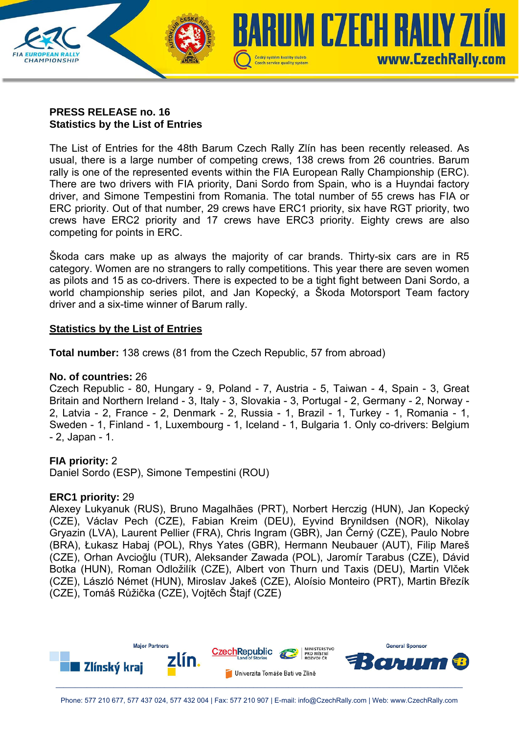

## **PRESS RELEASE no. 16 Statistics by the List of Entries**

The List of Entries for the 48th Barum Czech Rally Zlín has been recently released. As usual, there is a large number of competing crews, 138 crews from 26 countries. Barum rally is one of the represented events within the FIA European Rally Championship (ERC). There are two drivers with FIA priority, Dani Sordo from Spain, who is a Huyndai factory driver, and Simone Tempestini from Romania. The total number of 55 crews has FIA or ERC priority. Out of that number, 29 crews have ERC1 priority, six have RGT priority, two crews have ERC2 priority and 17 crews have ERC3 priority. Eighty crews are also competing for points in ERC.

Škoda cars make up as always the majority of car brands. Thirty-six cars are in R5 category. Women are no strangers to rally competitions. This year there are seven women as pilots and 15 as co-drivers. There is expected to be a tight fight between Dani Sordo, a world championship series pilot, and Jan Kopecký, a Škoda Motorsport Team factory driver and a six-time winner of Barum rally.

# **Statistics by the List of Entries**

**Total number:** 138 crews (81 from the Czech Republic, 57 from abroad)

## **No. of countries:** 26

Czech Republic - 80, Hungary - 9, Poland - 7, Austria - 5, Taiwan - 4, Spain - 3, Great Britain and Northern Ireland - 3, Italy - 3, Slovakia - 3, Portugal - 2, Germany - 2, Norway - 2, Latvia - 2, France - 2, Denmark - 2, Russia - 1, Brazil - 1, Turkey - 1, Romania - 1, Sweden - 1, Finland - 1, Luxembourg - 1, Iceland - 1, Bulgaria 1. Only co-drivers: Belgium - 2, Japan - 1.

## **FIA priority:** 2

Daniel Sordo (ESP), Simone Tempestini (ROU)

## **ERC1 priority:** 29

Alexey Lukyanuk (RUS), Bruno Magalhães (PRT), Norbert Herczig (HUN), Jan Kopecký (CZE), Václav Pech (CZE), Fabian Kreim (DEU), Eyvind Brynildsen (NOR), Nikolay Gryazin (LVA), Laurent Pellier (FRA), Chris Ingram (GBR), Jan Černý (CZE), Paulo Nobre (BRA), Łukasz Habaj (POL), Rhys Yates (GBR), Hermann Neubauer (AUT), Filip Mareš (CZE), Orhan Avcioğlu (TUR), Aleksander Zawada (POL), Jaromír Tarabus (CZE), Dávid Botka (HUN), Roman Odložilík (CZE), Albert von Thurn und Taxis (DEU), Martin Vlček (CZE), László Német (HUN), Miroslav Jakeš (CZE), Aloísio Monteiro (PRT), Martin Březík (CZE), Tomáš Růžička (CZE), Vojtěch Štajf (CZE)

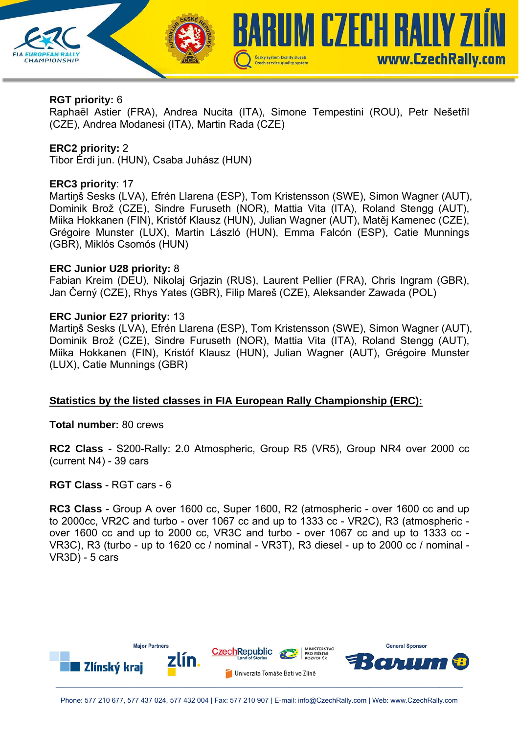

### **RGT priority:** 6

Raphaël Astier (FRA), Andrea Nucita (ITA), Simone Tempestini (ROU), Petr Nešetřil (CZE), Andrea Modanesi (ITA), Martin Rada (CZE)

### **ERC2 priority:** 2

Tibor Érdi jun. (HUN), Csaba Juhász (HUN)

#### **ERC3 priority**: 17

Martiņš Sesks (LVA), Efrén Llarena (ESP), Tom Kristensson (SWE), Simon Wagner (AUT), Dominik Brož (CZE), Sindre Furuseth (NOR), Mattia Vita (ITA), Roland Stengg (AUT), Miika Hokkanen (FIN), Kristóf Klausz (HUN), Julian Wagner (AUT), Matěj Kamenec (CZE), Grégoire Munster (LUX), Martin László (HUN), Emma Falcón (ESP), Catie Munnings (GBR), Miklós Csomós (HUN)

### **ERC Junior U28 priority:** 8

Fabian Kreim (DEU), Nikolaj Grjazin (RUS), Laurent Pellier (FRA), Chris Ingram (GBR), Jan Černý (CZE), Rhys Yates (GBR), Filip Mareš (CZE), Aleksander Zawada (POL)

### **ERC Junior E27 priority:** 13

Martiņš Sesks (LVA), Efrén Llarena (ESP), Tom Kristensson (SWE), Simon Wagner (AUT), Dominik Brož (CZE), Sindre Furuseth (NOR), Mattia Vita (ITA), Roland Stengg (AUT), Miika Hokkanen (FIN), Kristóf Klausz (HUN), Julian Wagner (AUT), Grégoire Munster (LUX), Catie Munnings (GBR)

## **Statistics by the listed classes in FIA European Rally Championship (ERC):**

**Total number:** 80 crews

**RC2 Class** - S200-Rally: 2.0 Atmospheric, Group R5 (VR5), Group NR4 over 2000 cc (current N4) - 39 cars

#### **RGT Class** - RGT cars - 6

**RC3 Class** - Group A over 1600 cc, Super 1600, R2 (atmospheric - over 1600 cc and up to 2000cc, VR2C and turbo - over 1067 cc and up to 1333 cc - VR2C), R3 (atmospheric over 1600 cc and up to 2000 cc, VR3C and turbo - over 1067 cc and up to 1333 cc - VR3C), R3 (turbo - up to 1620 cc / nominal - VR3T), R3 diesel - up to 2000 cc / nominal - VR3D) - 5 cars